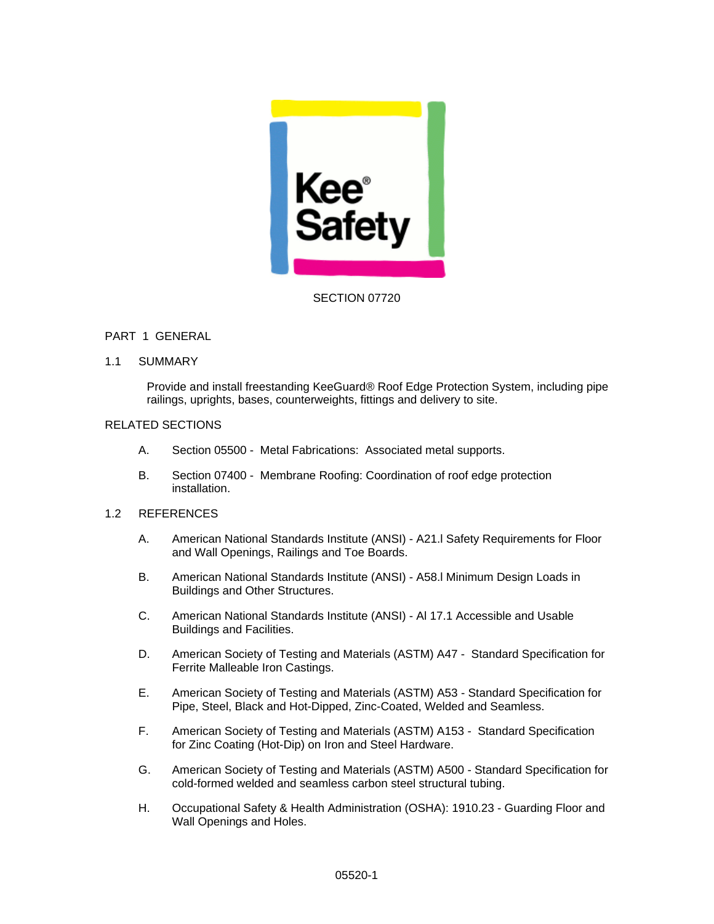

### SECTION 07720

### PART 1 GENERAL

1.1 SUMMARY

Provide and install freestanding KeeGuard® Roof Edge Protection System, including pipe railings, uprights, bases, counterweights, fittings and delivery to site.

# RELATED SECTIONS

- A. Section 05500 Metal Fabrications: Associated metal supports.
- B. Section 07400 Membrane Roofing: Coordination of roof edge protection installation.

# 1.2 REFERENCES

- A. American National Standards Institute (ANSI) A21.l Safety Requirements for Floor and Wall Openings, Railings and Toe Boards.
- B. American National Standards Institute (ANSI) A58.l Minimum Design Loads in Buildings and Other Structures.
- C. American National Standards Institute (ANSI) Al 17.1 Accessible and Usable Buildings and Facilities.
- D. American Society of Testing and Materials (ASTM) A47 Standard Specification for Ferrite Malleable Iron Castings.
- E. American Society of Testing and Materials (ASTM) A53 Standard Specification for Pipe, Steel, Black and Hot-Dipped, Zinc-Coated, Welded and Seamless.
- F. American Society of Testing and Materials (ASTM) A153 Standard Specification for Zinc Coating (Hot-Dip) on Iron and Steel Hardware.
- G. American Society of Testing and Materials (ASTM) A500 Standard Specification for cold-formed welded and seamless carbon steel structural tubing.
- H. Occupational Safety & Health Administration (OSHA): 1910.23 Guarding Floor and Wall Openings and Holes.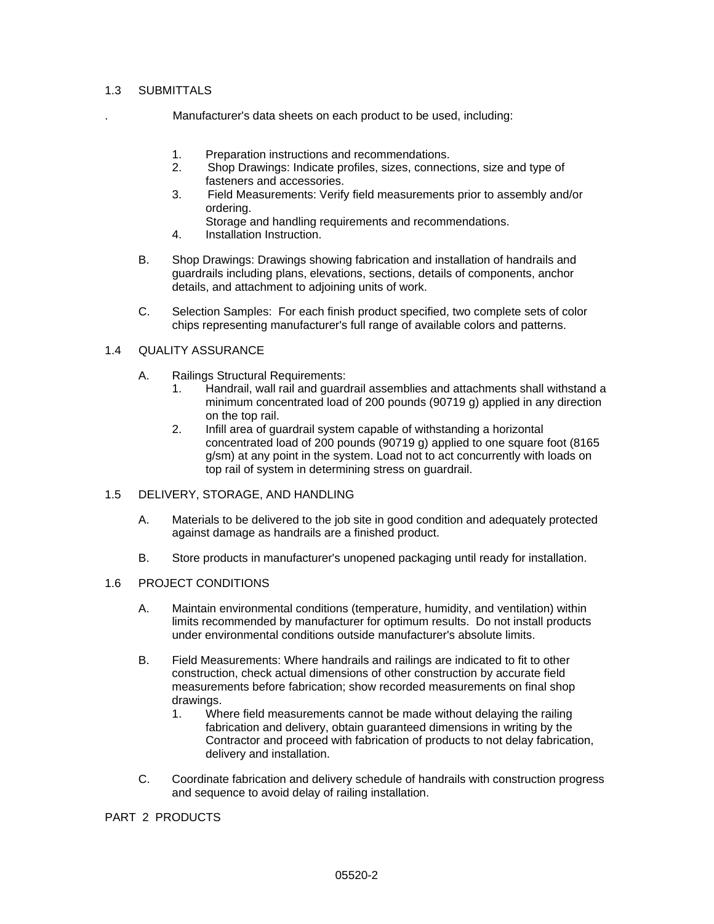### 1.3 SUBMITTALS

. Manufacturer's data sheets on each product to be used, including:

- 1. Preparation instructions and recommendations.
- 2. Shop Drawings: Indicate profiles, sizes, connections, size and type of fasteners and accessories.
- 3. Field Measurements: Verify field measurements prior to assembly and/or ordering.
	- Storage and handling requirements and recommendations.
- 4. Installation Instruction.
- B. Shop Drawings: Drawings showing fabrication and installation of handrails and guardrails including plans, elevations, sections, details of components, anchor details, and attachment to adjoining units of work.
- C. Selection Samples: For each finish product specified, two complete sets of color chips representing manufacturer's full range of available colors and patterns.

#### 1.4 QUALITY ASSURANCE

- A. Railings Structural Requirements:
	- 1. Handrail, wall rail and guardrail assemblies and attachments shall withstand a minimum concentrated load of 200 pounds (90719 g) applied in any direction on the top rail.
	- 2. Infill area of guardrail system capable of withstanding a horizontal concentrated load of 200 pounds (90719 g) applied to one square foot (8165 g/sm) at any point in the system. Load not to act concurrently with loads on top rail of system in determining stress on guardrail.

#### 1.5 DELIVERY, STORAGE, AND HANDLING

- A. Materials to be delivered to the job site in good condition and adequately protected against damage as handrails are a finished product.
- B. Store products in manufacturer's unopened packaging until ready for installation.

#### 1.6 PROJECT CONDITIONS

- A. Maintain environmental conditions (temperature, humidity, and ventilation) within limits recommended by manufacturer for optimum results. Do not install products under environmental conditions outside manufacturer's absolute limits.
- B. Field Measurements: Where handrails and railings are indicated to fit to other construction, check actual dimensions of other construction by accurate field measurements before fabrication; show recorded measurements on final shop drawings.
	- 1. Where field measurements cannot be made without delaying the railing fabrication and delivery, obtain guaranteed dimensions in writing by the Contractor and proceed with fabrication of products to not delay fabrication, delivery and installation.
- C. Coordinate fabrication and delivery schedule of handrails with construction progress and sequence to avoid delay of railing installation.

## PART 2 PRODUCTS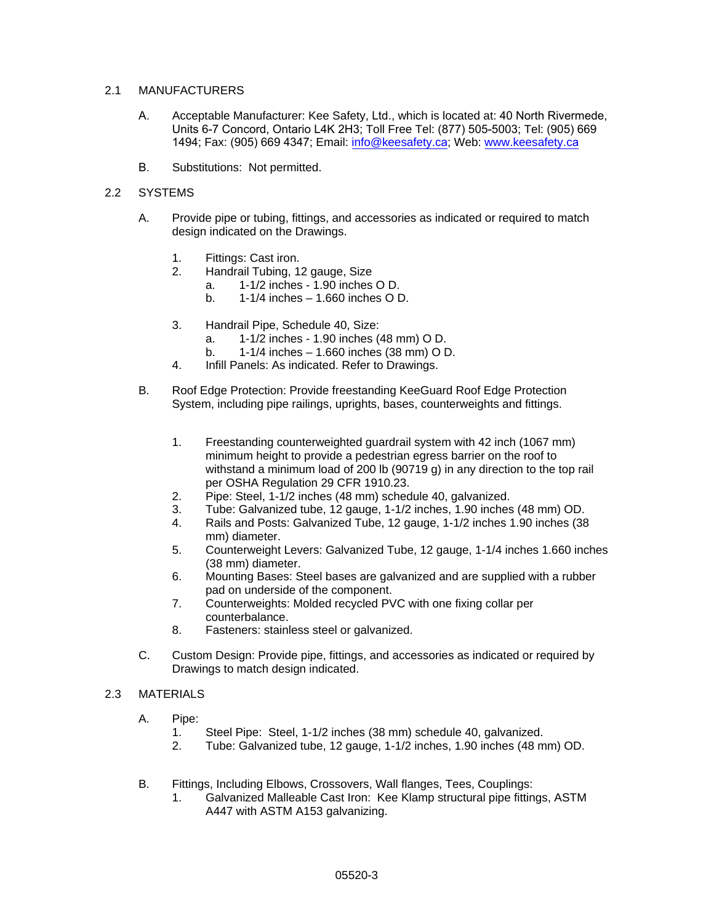### 2.1 MANUFACTURERS

- A. Acceptable Manufacturer: Kee Safety, Ltd., which is located at: 40 North Rivermede, Units 6-7 Concord, Ontario L4K 2H3; Toll Free Tel: (877) 505-5003; Tel: (905) 669 1494; Fax: (905) 669 4347; Email: [info@keesafety.c](mailto:info@keesafety.com)a; Web: [www.keesafety.c](http://www.keesafety.com/)a
- B. Substitutions: Not permitted.

### 2.2 SYSTEMS

- A. Provide pipe or tubing, fittings, and accessories as indicated or required to match design indicated on the Drawings.
	- 1. Fittings: Cast iron.
	- 2. Handrail Tubing, 12 gauge, Size
		- a. 1-1/2 inches 1.90 inches O D.
			- b. 1-1/4 inches 1.660 inches O D.
	- 3. Handrail Pipe, Schedule 40, Size:
		- a. 1-1/2 inches 1.90 inches (48 mm) O D.
		- b. 1-1/4 inches 1.660 inches (38 mm) O D.
	- 4. Infill Panels: As indicated. Refer to Drawings.
- B. Roof Edge Protection: Provide freestanding KeeGuard Roof Edge Protection System, including pipe railings, uprights, bases, counterweights and fittings.
	- 1. Freestanding counterweighted guardrail system with 42 inch (1067 mm) minimum height to provide a pedestrian egress barrier on the roof to withstand a minimum load of 200 lb (90719 g) in any direction to the top rail per OSHA Regulation 29 CFR 1910.23.
	- 2. Pipe: Steel, 1-1/2 inches (48 mm) schedule 40, galvanized.
	- 3. Tube: Galvanized tube, 12 gauge, 1-1/2 inches, 1.90 inches (48 mm) OD.
	- 4. Rails and Posts: Galvanized Tube, 12 gauge, 1-1/2 inches 1.90 inches (38 mm) diameter.
	- 5. Counterweight Levers: Galvanized Tube, 12 gauge, 1-1/4 inches 1.660 inches (38 mm) diameter.
	- 6. Mounting Bases: Steel bases are galvanized and are supplied with a rubber pad on underside of the component.
	- 7. Counterweights: Molded recycled PVC with one fixing collar per counterbalance.
	- 8. Fasteners: stainless steel or galvanized.
- C. Custom Design: Provide pipe, fittings, and accessories as indicated or required by Drawings to match design indicated.

# 2.3 MATERIALS

- A. Pipe:
	- 1. Steel Pipe: Steel, 1-1/2 inches (38 mm) schedule 40, galvanized.
	- 2. Tube: Galvanized tube, 12 gauge, 1-1/2 inches, 1.90 inches (48 mm) OD.
- B. Fittings, Including Elbows, Crossovers, Wall flanges, Tees, Couplings:
	- 1. Galvanized Malleable Cast Iron: Kee Klamp structural pipe fittings, ASTM A447 with ASTM A153 galvanizing.